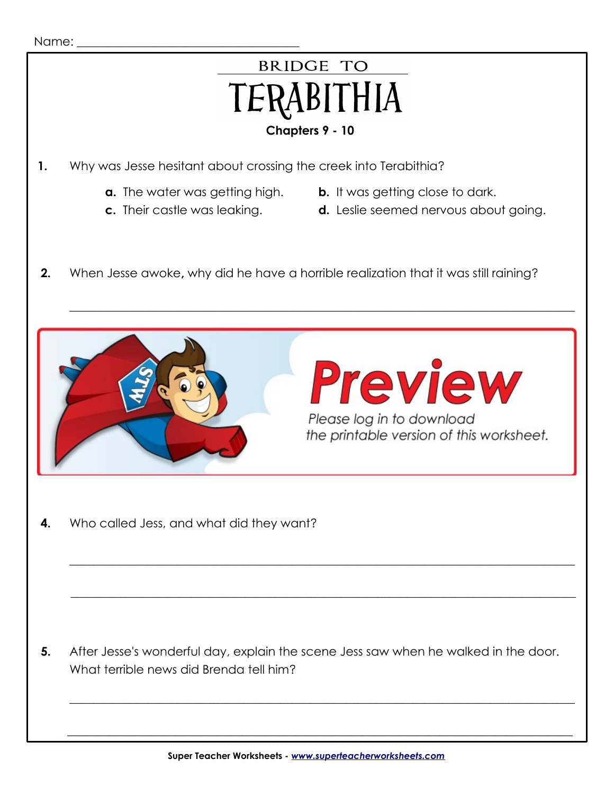